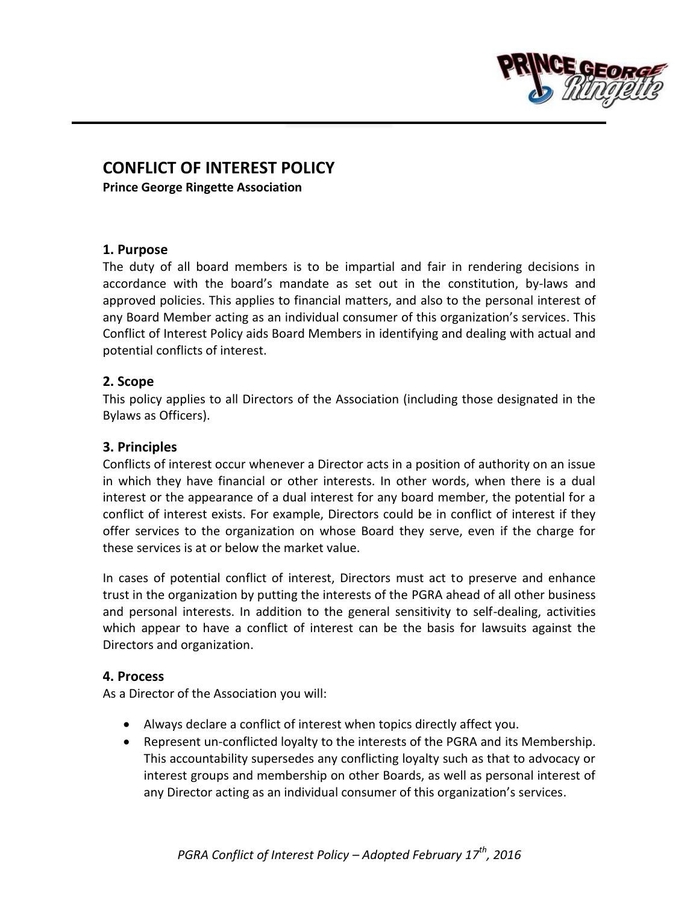

# **CONFLICT OF INTEREST POLICY**

**Prince George Ringette Association**

### **1. Purpose**

The duty of all board members is to be impartial and fair in rendering decisions in accordance with the board's mandate as set out in the constitution, by-laws and approved policies. This applies to financial matters, and also to the personal interest of any Board Member acting as an individual consumer of this organization's services. This Conflict of Interest Policy aids Board Members in identifying and dealing with actual and potential conflicts of interest.

## **2. Scope**

This policy applies to all Directors of the Association (including those designated in the Bylaws as Officers).

## **3. Principles**

Conflicts of interest occur whenever a Director acts in a position of authority on an issue in which they have financial or other interests. In other words, when there is a dual interest or the appearance of a dual interest for any board member, the potential for a conflict of interest exists. For example, Directors could be in conflict of interest if they offer services to the organization on whose Board they serve, even if the charge for these services is at or below the market value.

In cases of potential conflict of interest, Directors must act to preserve and enhance trust in the organization by putting the interests of the PGRA ahead of all other business and personal interests. In addition to the general sensitivity to self-dealing, activities which appear to have a conflict of interest can be the basis for lawsuits against the Directors and organization.

## **4. Process**

As a Director of the Association you will:

- Always declare a conflict of interest when topics directly affect you.
- Represent un-conflicted loyalty to the interests of the PGRA and its Membership. This accountability supersedes any conflicting loyalty such as that to advocacy or interest groups and membership on other Boards, as well as personal interest of any Director acting as an individual consumer of this organization's services.